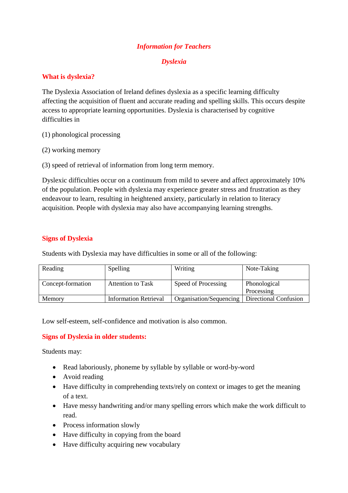# *Information for Teachers*

## *Dyslexia*

### **What is dyslexia?**

The Dyslexia Association of Ireland defines dyslexia as a specific learning difficulty affecting the acquisition of fluent and accurate reading and spelling skills. This occurs despite access to appropriate learning opportunities. Dyslexia is characterised by cognitive difficulties in

(1) phonological processing

(2) working memory

(3) speed of retrieval of information from long term memory.

Dyslexic difficulties occur on a continuum from mild to severe and affect approximately 10% of the population. People with dyslexia may experience greater stress and frustration as they endeavour to learn, resulting in heightened anxiety, particularly in relation to literacy acquisition. People with dyslexia may also have accompanying learning strengths.

#### **Signs of Dyslexia**

Students with Dyslexia may have difficulties in some or all of the following:

| Reading           | Spelling                     | Writing                 | Note-Taking                |
|-------------------|------------------------------|-------------------------|----------------------------|
| Concept-formation | Attention to Task            | Speed of Processing     | Phonological<br>Processing |
| Memory            | <b>Information Retrieval</b> | Organisation/Sequencing | Directional Confusion      |

Low self-esteem, self-confidence and motivation is also common.

#### **Signs of Dyslexia in older students:**

Students may:

- Read laboriously, phoneme by syllable by syllable or word-by-word
- Avoid reading
- Have difficulty in comprehending texts/rely on context or images to get the meaning of a text.
- Have messy handwriting and/or many spelling errors which make the work difficult to read.
- Process information slowly
- Have difficulty in copying from the board
- Have difficulty acquiring new vocabulary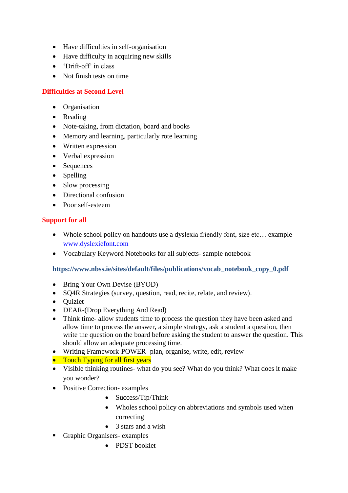- Have difficulties in self-organisation
- Have difficulty in acquiring new skills
- 'Drift-off' in class
- Not finish tests on time

#### **Difficulties at Second Level**

- Organisation
- Reading
- Note-taking, from dictation, board and books
- Memory and learning, particularly rote learning
- Written expression
- Verbal expression
- Sequences
- Spelling
- Slow processing
- Directional confusion
- Poor self-esteem

#### **Support for all**

- Whole school policy on handouts use a dyslexia friendly font, size etc… example [www.dyslexiefont.com](http://www.dyslexiefont.com/)
- Vocabulary Keyword Notebooks for all subjects- sample notebook

#### **https://www.nbss.ie/sites/default/files/publications/vocab\_notebook\_copy\_0.pdf**

- Bring Your Own Devise (BYOD)
- SQ4R Strategies (survey, question, read, recite, relate, and review).
- Ouizlet
- DEAR-(Drop Everything And Read)
- Think time- allow students time to process the question they have been asked and allow time to process the answer, a simple strategy, ask a student a question, then write the question on the board before asking the student to answer the question. This should allow an adequate processing time.
- Writing Framework-POWER- plan, organise, write, edit, review
- Touch Typing for all first years
- Visible thinking routines- what do you see? What do you think? What does it make you wonder?
- Positive Correction- examples
	- Success/Tip/Think
	- Wholes school policy on abbreviations and symbols used when correcting
	- 3 stars and a wish
- Graphic Organisers- examples
	- PDST booklet